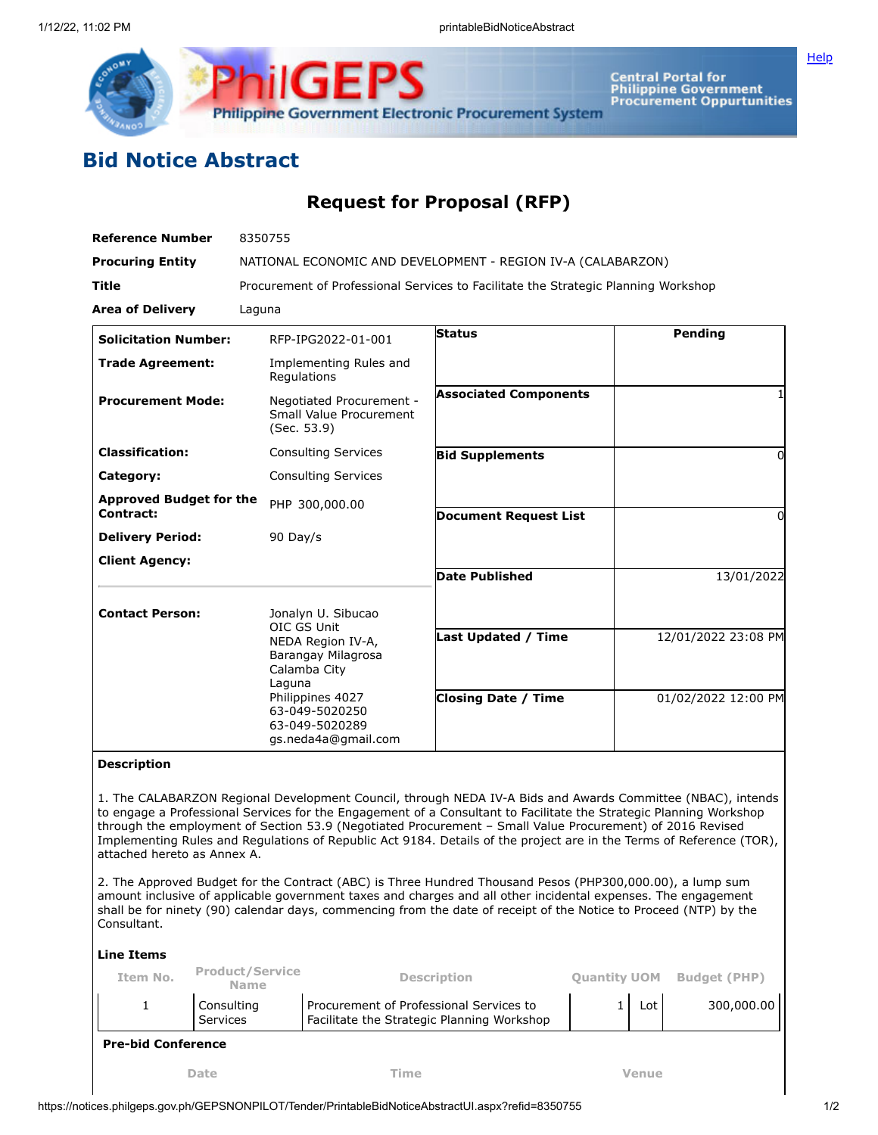

Central Portal for<br>Philippine Government<br>Procurement Oppurtunities

## **Bid Notice Abstract**

## **Request for Proposal (RFP)**

| <b>Reference Number</b>                     | 8350755                                                                                                                                                                               |                              |                     |  |  |  |  |
|---------------------------------------------|---------------------------------------------------------------------------------------------------------------------------------------------------------------------------------------|------------------------------|---------------------|--|--|--|--|
| <b>Procuring Entity</b>                     | NATIONAL ECONOMIC AND DEVELOPMENT - REGION IV-A (CALABARZON)                                                                                                                          |                              |                     |  |  |  |  |
| Title                                       | Procurement of Professional Services to Facilitate the Strategic Planning Workshop                                                                                                    |                              |                     |  |  |  |  |
| <b>Area of Delivery</b>                     | Laguna                                                                                                                                                                                |                              |                     |  |  |  |  |
| <b>Solicitation Number:</b>                 | RFP-IPG2022-01-001                                                                                                                                                                    | <b>Status</b>                | Pending             |  |  |  |  |
| <b>Trade Agreement:</b>                     | Implementing Rules and<br>Regulations                                                                                                                                                 |                              |                     |  |  |  |  |
| <b>Procurement Mode:</b>                    | Negotiated Procurement -<br>Small Value Procurement<br>(Sec. 53.9)                                                                                                                    | <b>Associated Components</b> |                     |  |  |  |  |
| <b>Classification:</b>                      | <b>Consulting Services</b>                                                                                                                                                            | <b>Bid Supplements</b>       | 0                   |  |  |  |  |
| Category:                                   | <b>Consulting Services</b>                                                                                                                                                            |                              |                     |  |  |  |  |
| <b>Approved Budget for the</b><br>Contract: | PHP 300,000.00                                                                                                                                                                        | <b>Document Request List</b> | 0                   |  |  |  |  |
| <b>Delivery Period:</b>                     | 90 Day/s                                                                                                                                                                              |                              |                     |  |  |  |  |
| <b>Client Agency:</b>                       |                                                                                                                                                                                       |                              |                     |  |  |  |  |
|                                             |                                                                                                                                                                                       | <b>Date Published</b>        | 13/01/2022          |  |  |  |  |
| <b>Contact Person:</b>                      | Jonalyn U. Sibucao<br>OIC GS Unit<br>NEDA Region IV-A,<br>Barangay Milagrosa<br>Calamba City<br>Laguna<br>Philippines 4027<br>63-049-5020250<br>63-049-5020289<br>gs.neda4a@gmail.com | <b>Last Updated / Time</b>   | 12/01/2022 23:08 PM |  |  |  |  |
|                                             |                                                                                                                                                                                       |                              |                     |  |  |  |  |
|                                             |                                                                                                                                                                                       | <b>Closing Date / Time</b>   | 01/02/2022 12:00 PM |  |  |  |  |

## **Description**

1. The CALABARZON Regional Development Council, through NEDA IV-A Bids and Awards Committee (NBAC), intends to engage a Professional Services for the Engagement of a Consultant to Facilitate the Strategic Planning Workshop through the employment of Section 53.9 (Negotiated Procurement – Small Value Procurement) of 2016 Revised Implementing Rules and Regulations of Republic Act 9184. Details of the project are in the Terms of Reference (TOR), attached hereto as Annex A.

2. The Approved Budget for the Contract (ABC) is Three Hundred Thousand Pesos (PHP300,000.00), a lump sum amount inclusive of applicable government taxes and charges and all other incidental expenses. The engagement shall be for ninety (90) calendar days, commencing from the date of receipt of the Notice to Proceed (NTP) by the Consultant.

## **Line Items**

| Item No.                  | <b>Product/Service</b><br><b>Name</b> | <b>Description</b>                                                                    | <b>Ouantity UOM</b> |       | <b>Budget (PHP)</b> |
|---------------------------|---------------------------------------|---------------------------------------------------------------------------------------|---------------------|-------|---------------------|
|                           | Consulting<br>Services                | Procurement of Professional Services to<br>Facilitate the Strategic Planning Workshop |                     | Lot   | 300,000.00          |
| <b>Pre-bid Conference</b> |                                       |                                                                                       |                     |       |                     |
|                           | Date                                  | Time                                                                                  |                     | Venue |                     |